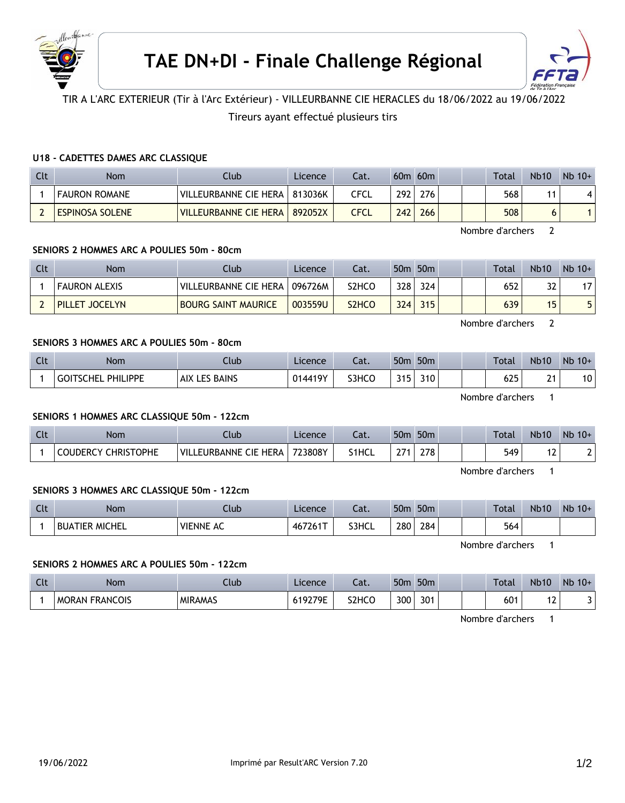



# TIR A L'ARC EXTERIEUR (Tir à l'Arc Extérieur) - VILLEURBANNE CIE HERACLES du 18/06/2022 au 19/06/2022

## Tireurs ayant effectué plusieurs tirs

### **U18 - CADETTES DAMES ARC CLASSIQUE**

| Clt | Nom                    | Clubl                   | Licence | Cat.        |     | $60m$ $60m$ |  | Total | <b>Nb10</b> | $Nb$ 10+ |
|-----|------------------------|-------------------------|---------|-------------|-----|-------------|--|-------|-------------|----------|
|     | <b>FAURON ROMANE</b>   | VILLEURBANNE CIE HERA   | 813036K | CFCL        | 292 | 276         |  | 568   |             |          |
|     | <b>ESPINOSA SOLENE</b> | VILLEURBANNE CIE HERA I | 892052X | <b>CFCL</b> | 242 | 266         |  | 508   |             |          |

Nombre d'archers 2

### **SENIORS 2 HOMMES ARC A POULIES 50m - 80cm**

| Clt | <b>Nom</b>           | Club                       | Licence | Cat.               |     | 50 <sub>m</sub> 50 <sub>m</sub> |  | <b>Total</b> | <b>Nb10</b>     | $Nb$ 10+ |
|-----|----------------------|----------------------------|---------|--------------------|-----|---------------------------------|--|--------------|-----------------|----------|
|     | <b>FAURON ALEXIS</b> | VILLEURBANNE CIE HERA      | 096726M | S2HCO              | 328 | 324                             |  | 652          | 32              |          |
|     | PILLET JOCELYN       | <b>BOURG SAINT MAURICE</b> | 003559U | S <sub>2</sub> HCO | 324 | 315                             |  | 639          | 15 <sup>1</sup> |          |

Nombre d'archers 2

## **SENIORS 3 HOMMES ARC A POULIES 50m - 80cm**

| Clt | Nom                                 | Club                   | Licence | Cat.  | 50 <sub>m</sub> | 50 <sub>m</sub> |  | <b>Total</b> | <b>Nb10</b>          | $Nb$ 10+        |
|-----|-------------------------------------|------------------------|---------|-------|-----------------|-----------------|--|--------------|----------------------|-----------------|
|     | <b>PHILIPPE</b><br><b>GOITSCHEL</b> | ES BAINS<br><b>AIX</b> | 014419Y | S3HCO | 215<br>. .      | 310             |  | 625          | $\sim$ $\sim$<br>- 1 | 10 <sub>1</sub> |

Nombre d'archers 1

### **SENIORS 1 HOMMES ARC CLASSIQUE 50m - 122cm**

| Clt | Nom                                  | Llub.                 | Licence | Cat.  | 50 <sub>m</sub> | 50 <sub>m</sub> |  | Total | <b>Nb10</b>    | $Nb$ 10+ |
|-----|--------------------------------------|-----------------------|---------|-------|-----------------|-----------------|--|-------|----------------|----------|
|     | <b>CHRISTOPHE</b><br><b>COUDERCY</b> | VILLEURBANNE CIE HERA | 723808Y | S1HCL | $\sim$ $\sim$   | 278             |  | 549   | $\cdot$ $\sim$ |          |

Nombre d'archers 1

### **SENIORS 3 HOMMES ARC CLASSIQUE 50m - 122cm**

| <b>Clt</b> | <b>Nom</b>            | lub       | Licence | $\sim$<br>cal. | 50 <sub>n</sub> | 50 <sub>m</sub> |  | <b>Total</b> | <b>Nb10</b> | Nb<br>$10+$ |
|------------|-----------------------|-----------|---------|----------------|-----------------|-----------------|--|--------------|-------------|-------------|
|            | <b>BUATIER MICHEL</b> | VIENNE AC | 467261T | S3HCL          | 280             | 284             |  | 564          |             |             |

Nombre d'archers 1

#### **SENIORS 2 HOMMES ARC A POULIES 50m - 122cm**

| <b>Clt</b> | Nom                             | Jub            | Licence | $\sim$<br>cal. | 50 <sub>0</sub> | 50 <sub>m</sub> |  | Total | <b>Nb10</b> | <b>Nb</b><br>$10+$ |
|------------|---------------------------------|----------------|---------|----------------|-----------------|-----------------|--|-------|-------------|--------------------|
|            | <b>FRANCOIS</b><br><b>MORAN</b> | <b>MIRAMAS</b> | 519279E | S2HCO          | 300             | 301             |  | 601   | $\sim$<br>▵ |                    |

Nombre d'archers 1